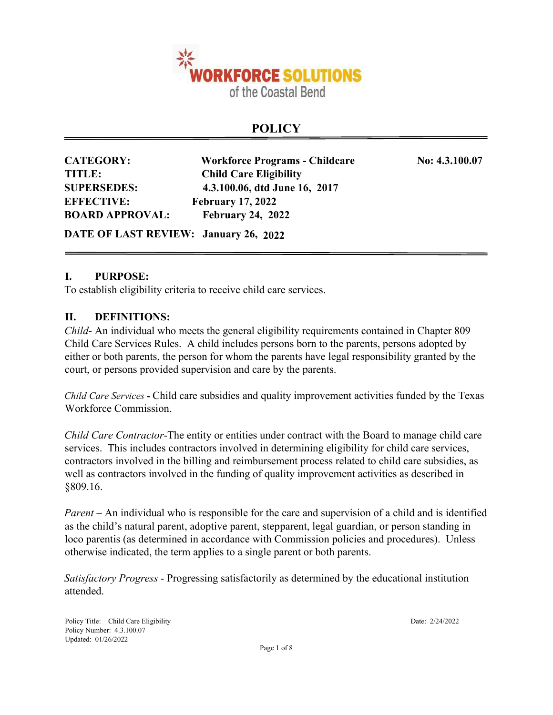

# **POLICY**

| <b>CATEGORY:</b>                      | <b>Workforce Programs - Childcare</b> | No: 4.3.100.07 |
|---------------------------------------|---------------------------------------|----------------|
| TITLE:                                | <b>Child Care Eligibility</b>         |                |
| <b>SUPERSEDES:</b>                    | 4.3.100.06, dtd June 16, 2017         |                |
| <b>EFFECTIVE:</b>                     | <b>February 17, 2022</b>              |                |
| <b>BOARD APPROVAL:</b>                | <b>February 24, 2022</b>              |                |
| DATE OF LAST REVIEW: January 26, 2022 |                                       |                |

## **I. PURPOSE:**

To establish eligibility criteria to receive child care services.

#### **II. DEFINITIONS:**

*Child*- An individual who meets the general eligibility requirements contained in Chapter 809 Child Care Services Rules. A child includes persons born to the parents, persons adopted by either or both parents, the person for whom the parents have legal responsibility granted by the court, or persons provided supervision and care by the parents.

*Child Care Services* **-** Child care subsidies and quality improvement activities funded by the Texas Workforce Commission.

*Child Care Contractor*-The entity or entities under contract with the Board to manage child care services. This includes contractors involved in determining eligibility for child care services, contractors involved in the billing and reimbursement process related to child care subsidies, as well as contractors involved in the funding of quality improvement activities as described in §809.16.

*Parent* – An individual who is responsible for the care and supervision of a child and is identified as the child's natural parent, adoptive parent, stepparent, legal guardian, or person standing in loco parentis (as determined in accordance with Commission policies and procedures). Unless otherwise indicated, the term applies to a single parent or both parents.

*Satisfactory Progress -* Progressing satisfactorily as determined by the educational institution attended.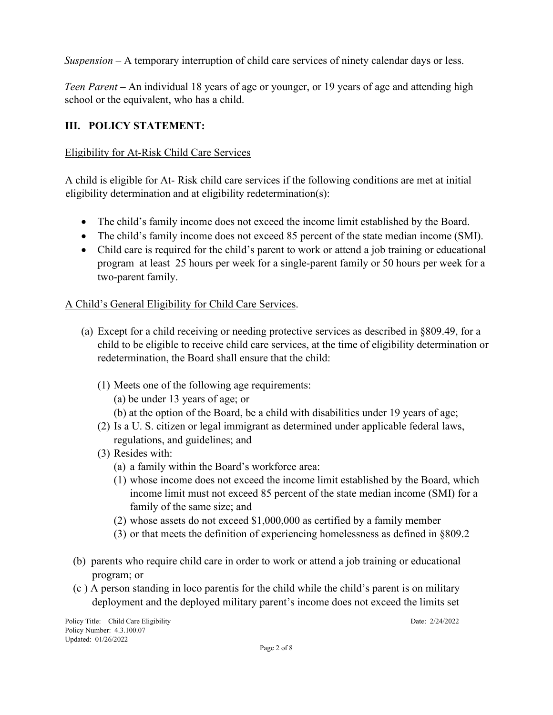*Suspension –* A temporary interruption of child care services of ninety calendar days or less.

*Teen Parent* **–** An individual 18 years of age or younger, or 19 years of age and attending high school or the equivalent, who has a child.

# **III. POLICY STATEMENT:**

## Eligibility for At-Risk Child Care Services

A child is eligible for At- Risk child care services if the following conditions are met at initial eligibility determination and at eligibility redetermination(s):

- The child's family income does not exceed the income limit established by the Board.
- The child's family income does not exceed 85 percent of the state median income (SMI).
- Child care is required for the child's parent to work or attend a job training or educational program at least 25 hours per week for a single-parent family or 50 hours per week for a two-parent family.

# A Child's General Eligibility for Child Care Services.

- (a) Except for a child receiving or needing protective services as described in §809.49, for a child to be eligible to receive child care services, at the time of eligibility determination or redetermination, the Board shall ensure that the child:
	- (1) Meets one of the following age requirements:
		- (a) be under 13 years of age; or
		- (b) at the option of the Board, be a child with disabilities under 19 years of age;
	- (2) Is a U. S. citizen or legal immigrant as determined under applicable federal laws, regulations, and guidelines; and
	- (3) Resides with:
		- (a) a family within the Board's workforce area:
		- (1) whose income does not exceed the income limit established by the Board, which income limit must not exceed 85 percent of the state median income (SMI) for a family of the same size; and
		- (2) whose assets do not exceed \$1,000,000 as certified by a family member
		- (3) or that meets the definition of experiencing homelessness as defined in §809.2
- (b) parents who require child care in order to work or attend a job training or educational program; or
- (c ) A person standing in loco parentis for the child while the child's parent is on military deployment and the deployed military parent's income does not exceed the limits set

Policy Title: Child Care Eligibility Date: 2/24/2022 Policy Number: 4.3.100.07 Updated: 01/26/2022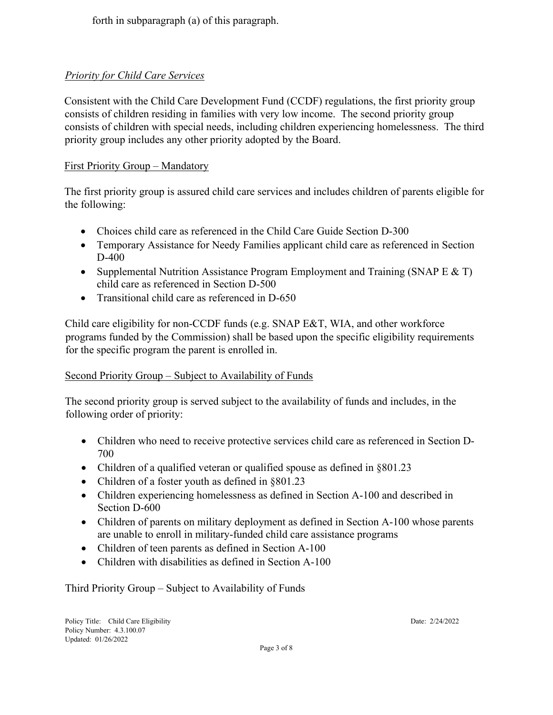forth in subparagraph (a) of this paragraph.

# *Priority for Child Care Services*

Consistent with the Child Care Development Fund (CCDF) regulations, the first priority group consists of children residing in families with very low income. The second priority group consists of children with special needs, including children experiencing homelessness. The third priority group includes any other priority adopted by the Board.

## First Priority Group – Mandatory

The first priority group is assured child care services and includes children of parents eligible for the following:

- Choices child care as referenced in the Child Care Guide Section D-300
- Temporary Assistance for Needy Families applicant child care as referenced in Section D-400
- Supplemental Nutrition Assistance Program Employment and Training (SNAP E & T) child care as referenced in Section D-500
- Transitional child care as referenced in D-650

Child care eligibility for non-CCDF funds (e.g. SNAP E&T, WIA, and other workforce programs funded by the Commission) shall be based upon the specific eligibility requirements for the specific program the parent is enrolled in.

## Second Priority Group – Subject to Availability of Funds

The second priority group is served subject to the availability of funds and includes, in the following order of priority:

- Children who need to receive protective services child care as referenced in Section D-700
- Children of a qualified veteran or qualified spouse as defined in §801.23
- Children of a foster youth as defined in §801.23
- Children experiencing homelessness as defined in Section A-100 and described in Section D-600
- Children of parents on military deployment as defined in Section A-100 whose parents are unable to enroll in military-funded child care assistance programs
- Children of teen parents as defined in Section A-100
- Children with disabilities as defined in Section A-100

Third Priority Group – Subject to Availability of Funds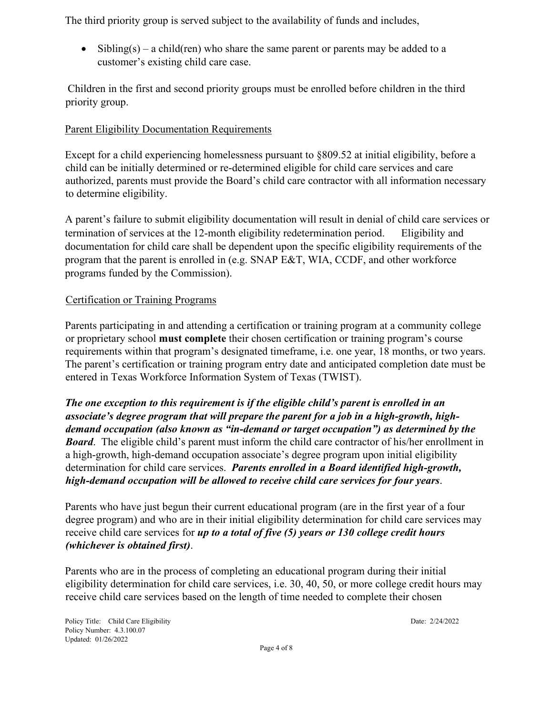The third priority group is served subject to the availability of funds and includes,

• Sibling(s) – a child(ren) who share the same parent or parents may be added to a customer's existing child care case.

 Children in the first and second priority groups must be enrolled before children in the third priority group.

# Parent Eligibility Documentation Requirements

Except for a child experiencing homelessness pursuant to §809.52 at initial eligibility, before a child can be initially determined or re-determined eligible for child care services and care authorized, parents must provide the Board's child care contractor with all information necessary to determine eligibility.

A parent's failure to submit eligibility documentation will result in denial of child care services or termination of services at the 12-month eligibility redetermination period. Eligibility and documentation for child care shall be dependent upon the specific eligibility requirements of the program that the parent is enrolled in (e.g. SNAP E&T, WIA, CCDF, and other workforce programs funded by the Commission).

# Certification or Training Programs

Parents participating in and attending a certification or training program at a community college or proprietary school **must complete** their chosen certification or training program's course requirements within that program's designated timeframe, i.e. one year, 18 months, or two years. The parent's certification or training program entry date and anticipated completion date must be entered in Texas Workforce Information System of Texas (TWIST).

*The one exception to this requirement is if the eligible child's parent is enrolled in an associate's degree program that will prepare the parent for a job in a high-growth, highdemand occupation (also known as "in-demand or target occupation") as determined by the Board*. The eligible child's parent must inform the child care contractor of his/her enrollment in a high-growth, high-demand occupation associate's degree program upon initial eligibility determination for child care services. *Parents enrolled in a Board identified high-growth, high-demand occupation will be allowed to receive child care services for four years*.

Parents who have just begun their current educational program (are in the first year of a four degree program) and who are in their initial eligibility determination for child care services may receive child care services for *up to a total of five (5) years or 130 college credit hours (whichever is obtained first)*.

Parents who are in the process of completing an educational program during their initial eligibility determination for child care services, i.e. 30, 40, 50, or more college credit hours may receive child care services based on the length of time needed to complete their chosen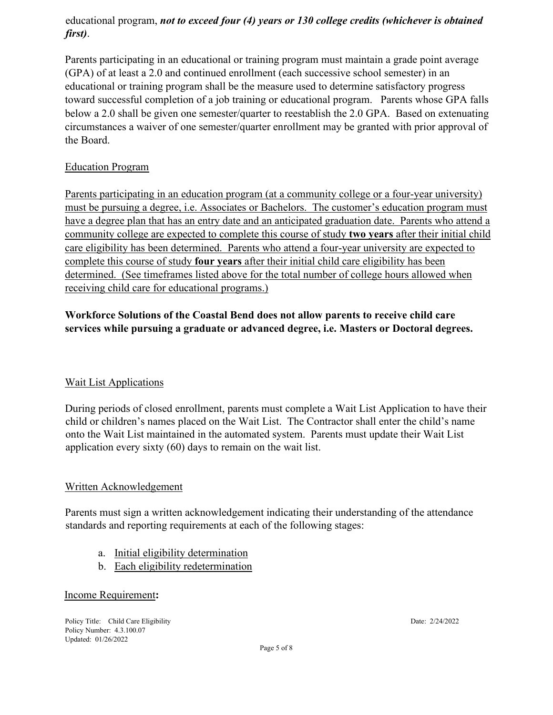# educational program, *not to exceed four (4) years or 130 college credits (whichever is obtained first)*.

Parents participating in an educational or training program must maintain a grade point average (GPA) of at least a 2.0 and continued enrollment (each successive school semester) in an educational or training program shall be the measure used to determine satisfactory progress toward successful completion of a job training or educational program. Parents whose GPA falls below a 2.0 shall be given one semester/quarter to reestablish the 2.0 GPA. Based on extenuating circumstances a waiver of one semester/quarter enrollment may be granted with prior approval of the Board.

## Education Program

Parents participating in an education program (at a community college or a four-year university) must be pursuing a degree, i.e. Associates or Bachelors. The customer's education program must have a degree plan that has an entry date and an anticipated graduation date. Parents who attend a community college are expected to complete this course of study **two years** after their initial child care eligibility has been determined. Parents who attend a four-year university are expected to complete this course of study **four years** after their initial child care eligibility has been determined. (See timeframes listed above for the total number of college hours allowed when receiving child care for educational programs.)

# **Workforce Solutions of the Coastal Bend does not allow parents to receive child care services while pursuing a graduate or advanced degree, i.e. Masters or Doctoral degrees.**

# Wait List Applications

During periods of closed enrollment, parents must complete a Wait List Application to have their child or children's names placed on the Wait List. The Contractor shall enter the child's name onto the Wait List maintained in the automated system. Parents must update their Wait List application every sixty (60) days to remain on the wait list.

## Written Acknowledgement

Parents must sign a written acknowledgement indicating their understanding of the attendance standards and reporting requirements at each of the following stages:

- a. Initial eligibility determination
- b. Each eligibility redetermination

#### Income Requirement**:**

Policy Title: Child Care Eligibility Date: 2/24/2022 Policy Number: 4.3.100.07 Updated: 01/26/2022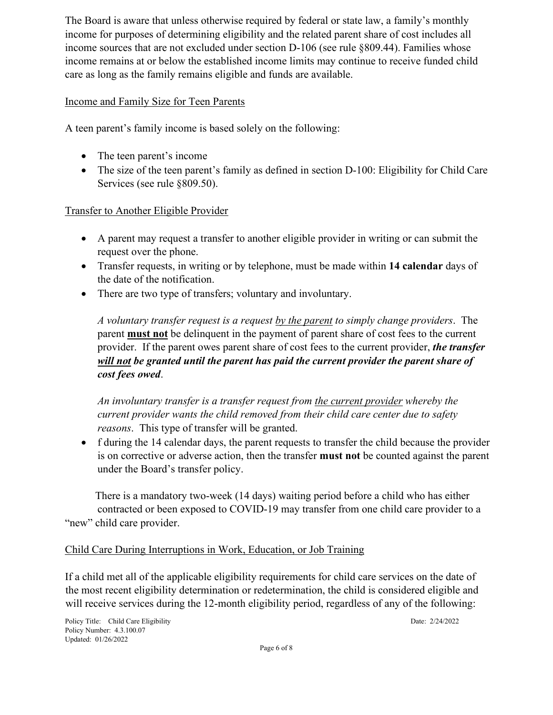The Board is aware that unless otherwise required by federal or state law, a family's monthly income for purposes of determining eligibility and the related parent share of cost includes all income sources that are not excluded under section D-106 (see rule §809.44). Families whose income remains at or below the established income limits may continue to receive funded child care as long as the family remains eligible and funds are available.

#### Income and Family Size for Teen Parents

A teen parent's family income is based solely on the following:

- The teen parent's income
- The size of the teen parent's family as defined in section D-100: Eligibility for Child Care Services (see rule §809.50).

## Transfer to Another Eligible Provider

- A parent may request a transfer to another eligible provider in writing or can submit the request over the phone.
- Transfer requests, in writing or by telephone, must be made within **14 calendar** days of the date of the notification.
- There are two type of transfers; voluntary and involuntary.

*A voluntary transfer request is a request by the parent to simply change providers*. The parent **must not** be delinquent in the payment of parent share of cost fees to the current provider. If the parent owes parent share of cost fees to the current provider, *the transfer will not be granted until the parent has paid the current provider the parent share of cost fees owed*.

*An involuntary transfer is a transfer request from the current provider whereby the current provider wants the child removed from their child care center due to safety reasons*. This type of transfer will be granted.

• f during the 14 calendar days, the parent requests to transfer the child because the provider is on corrective or adverse action, then the transfer **must not** be counted against the parent under the Board's transfer policy.

 There is a mandatory two-week (14 days) waiting period before a child who has either contracted or been exposed to COVID-19 may transfer from one child care provider to a "new" child care provider.

## Child Care During Interruptions in Work, Education, or Job Training

If a child met all of the applicable eligibility requirements for child care services on the date of the most recent eligibility determination or redetermination, the child is considered eligible and will receive services during the 12-month eligibility period, regardless of any of the following: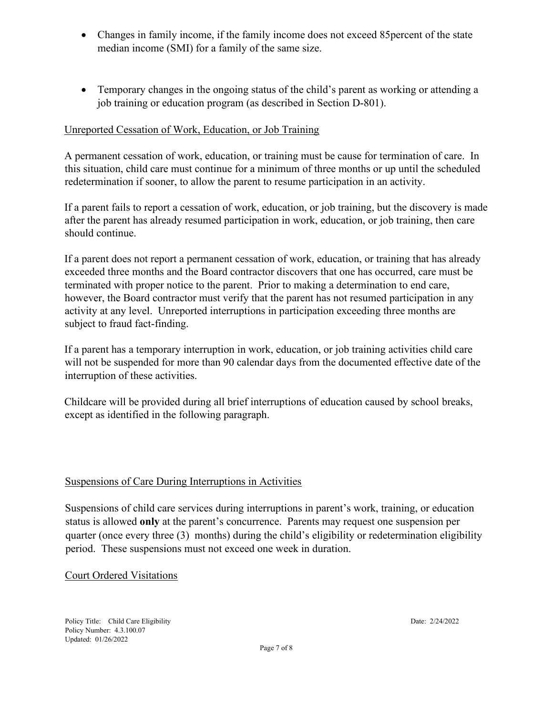- Changes in family income, if the family income does not exceed 85 percent of the state median income (SMI) for a family of the same size.
- Temporary changes in the ongoing status of the child's parent as working or attending a job training or education program (as described in Section D-801).

## Unreported Cessation of Work, Education, or Job Training

A permanent cessation of work, education, or training must be cause for termination of care. In this situation, child care must continue for a minimum of three months or up until the scheduled redetermination if sooner, to allow the parent to resume participation in an activity.

If a parent fails to report a cessation of work, education, or job training, but the discovery is made after the parent has already resumed participation in work, education, or job training, then care should continue.

If a parent does not report a permanent cessation of work, education, or training that has already exceeded three months and the Board contractor discovers that one has occurred, care must be terminated with proper notice to the parent. Prior to making a determination to end care, however, the Board contractor must verify that the parent has not resumed participation in any activity at any level. Unreported interruptions in participation exceeding three months are subject to fraud fact-finding.

If a parent has a temporary interruption in work, education, or job training activities child care will not be suspended for more than 90 calendar days from the documented effective date of the interruption of these activities.

Childcare will be provided during all brief interruptions of education caused by school breaks, except as identified in the following paragraph.

#### Suspensions of Care During Interruptions in Activities

Suspensions of child care services during interruptions in parent's work, training, or education status is allowed **only** at the parent's concurrence. Parents may request one suspension per quarter (once every three (3) months) during the child's eligibility or redetermination eligibility period. These suspensions must not exceed one week in duration.

#### Court Ordered Visitations